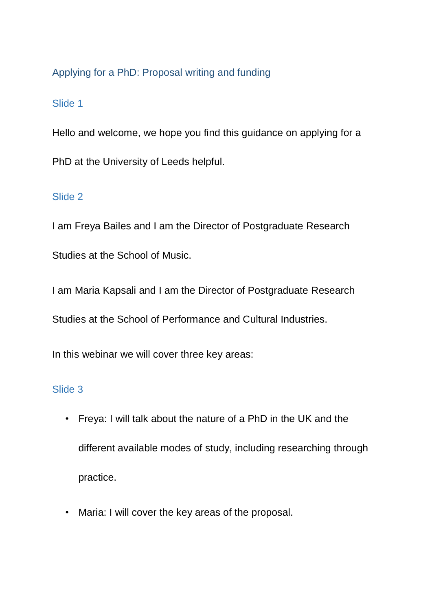# Applying for a PhD: Proposal writing and funding

## Slide 1

Hello and welcome, we hope you find this guidance on applying for a PhD at the University of Leeds helpful.

## Slide 2

I am Freya Bailes and I am the Director of Postgraduate Research Studies at the School of Music.

I am Maria Kapsali and I am the Director of Postgraduate Research

Studies at the School of Performance and Cultural Industries.

In this webinar we will cover three key areas:

### Slide 3

- Freya: I will talk about the nature of a PhD in the UK and the different available modes of study, including researching through practice.
- Maria: I will cover the key areas of the proposal.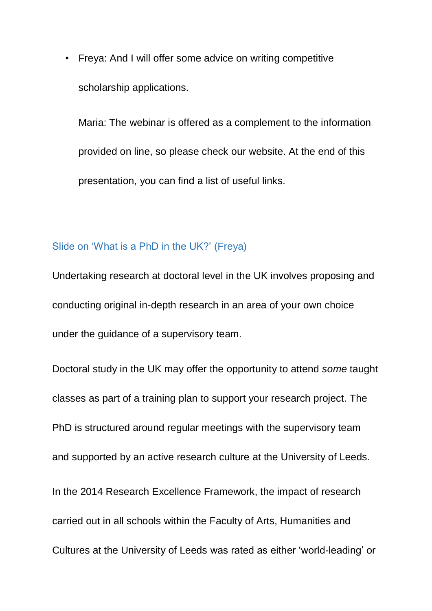• Freya: And I will offer some advice on writing competitive scholarship applications.

Maria: The webinar is offered as a complement to the information provided on line, so please check our website. At the end of this presentation, you can find a list of useful links.

#### Slide on 'What is a PhD in the UK?' (Freya)

Undertaking research at doctoral level in the UK involves proposing and conducting original in-depth research in an area of your own choice under the guidance of a supervisory team.

Doctoral study in the UK may offer the opportunity to attend *some* taught classes as part of a training plan to support your research project. The PhD is structured around regular meetings with the supervisory team and supported by an active research culture at the University of Leeds. In the 2014 Research Excellence Framework, the impact of research carried out in all schools within the Faculty of Arts, Humanities and Cultures at the University of Leeds was rated as either 'world-leading' or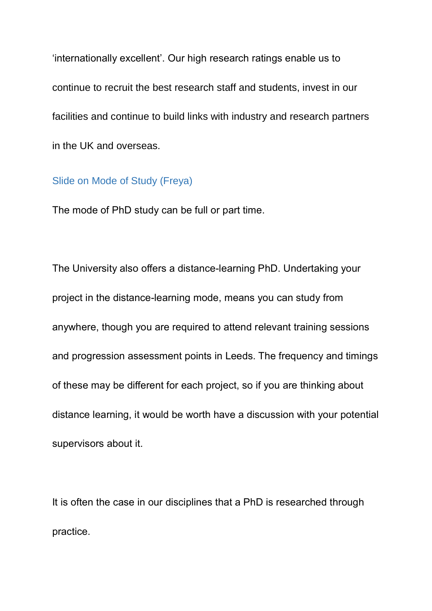'internationally excellent'. Our high research ratings enable us to continue to recruit the best research staff and students, invest in our facilities and continue to build links with industry and research partners in the UK and overseas.

#### Slide on Mode of Study (Freya)

The mode of PhD study can be full or part time.

The University also offers a distance-learning PhD. Undertaking your project in the distance-learning mode, means you can study from anywhere, though you are required to attend relevant training sessions and progression assessment points in Leeds. The frequency and timings of these may be different for each project, so if you are thinking about distance learning, it would be worth have a discussion with your potential supervisors about it.

It is often the case in our disciplines that a PhD is researched through practice.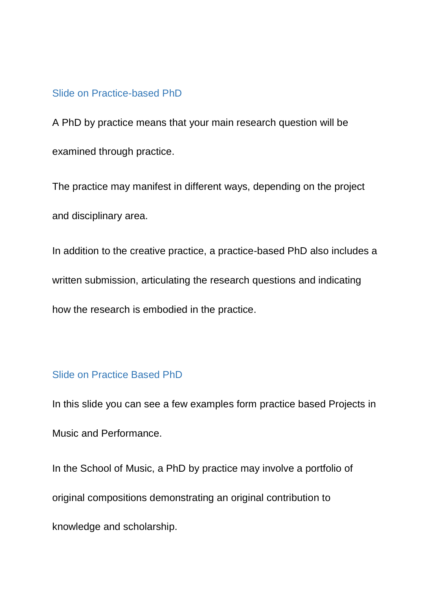### Slide on Practice-based PhD

A PhD by practice means that your main research question will be examined through practice.

The practice may manifest in different ways, depending on the project and disciplinary area.

In addition to the creative practice, a practice-based PhD also includes a written submission, articulating the research questions and indicating how the research is embodied in the practice.

### Slide on Practice Based PhD

In this slide you can see a few examples form practice based Projects in Music and Performance.

In the School of Music, a PhD by practice may involve a portfolio of original compositions demonstrating an original contribution to knowledge and scholarship.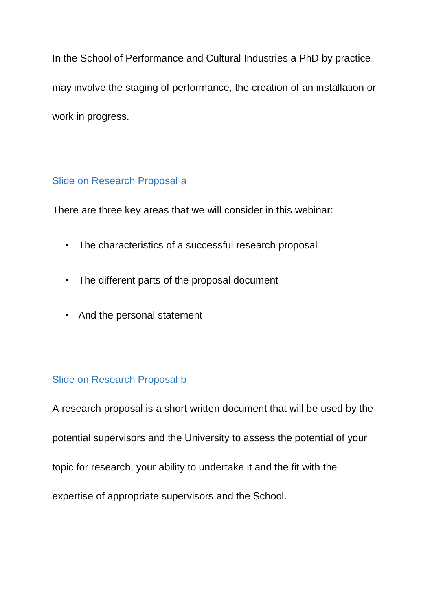In the School of Performance and Cultural Industries a PhD by practice may involve the staging of performance, the creation of an installation or work in progress.

## Slide on Research Proposal a

There are three key areas that we will consider in this webinar:

- The characteristics of a successful research proposal
- The different parts of the proposal document
- And the personal statement

# Slide on Research Proposal b

A research proposal is a short written document that will be used by the potential supervisors and the University to assess the potential of your topic for research, your ability to undertake it and the fit with the expertise of appropriate supervisors and the School.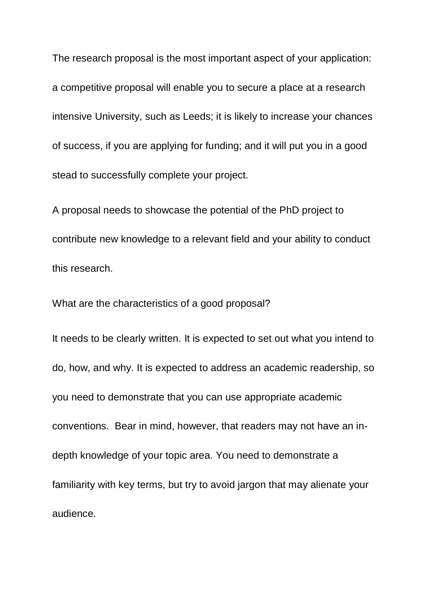The research proposal is the most important aspect of your application: a competitive proposal will enable you to secure a place at a research intensive University, such as Leeds; it is likely to increase your chances of success, if you are applying for funding; and it will put you in a good stead to successfully complete your project.

A proposal needs to showcase the potential of the PhD project to contribute new knowledge to a relevant field and your ability to conduct this research.

What are the characteristics of a good proposal?

It needs to be clearly written. It is expected to set out what you intend to do, how, and why. It is expected to address an academic readership, so you need to demonstrate that you can use appropriate academic conventions. Bear in mind, however, that readers may not have an indepth knowledge of your topic area. You need to demonstrate a familiarity with key terms, but try to avoid jargon that may alienate your audience.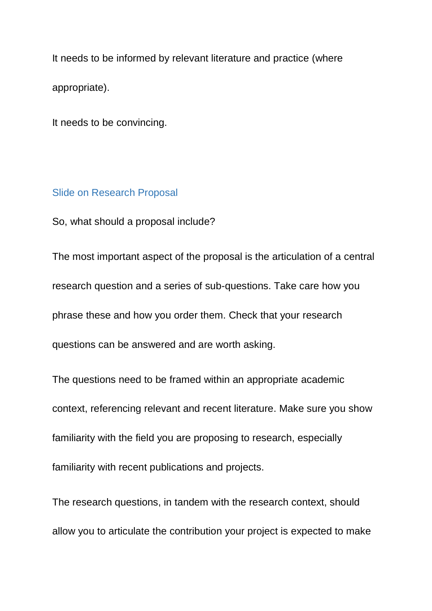It needs to be informed by relevant literature and practice (where appropriate).

It needs to be convincing.

### Slide on Research Proposal

So, what should a proposal include?

The most important aspect of the proposal is the articulation of a central research question and a series of sub-questions. Take care how you phrase these and how you order them. Check that your research questions can be answered and are worth asking.

The questions need to be framed within an appropriate academic context, referencing relevant and recent literature. Make sure you show familiarity with the field you are proposing to research, especially familiarity with recent publications and projects.

The research questions, in tandem with the research context, should allow you to articulate the contribution your project is expected to make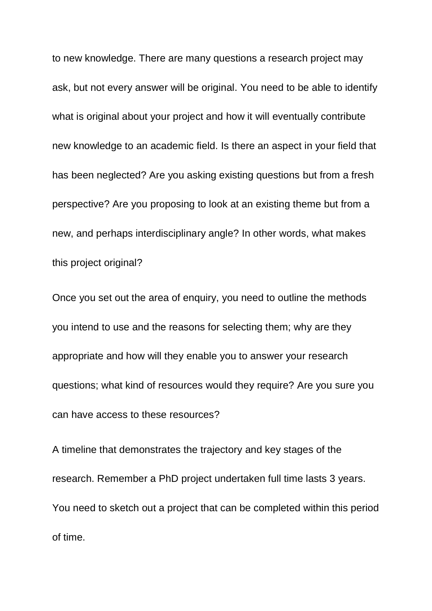to new knowledge. There are many questions a research project may ask, but not every answer will be original. You need to be able to identify what is original about your project and how it will eventually contribute new knowledge to an academic field. Is there an aspect in your field that has been neglected? Are you asking existing questions but from a fresh perspective? Are you proposing to look at an existing theme but from a new, and perhaps interdisciplinary angle? In other words, what makes this project original?

Once you set out the area of enquiry, you need to outline the methods you intend to use and the reasons for selecting them; why are they appropriate and how will they enable you to answer your research questions; what kind of resources would they require? Are you sure you can have access to these resources?

A timeline that demonstrates the trajectory and key stages of the research. Remember a PhD project undertaken full time lasts 3 years. You need to sketch out a project that can be completed within this period of time.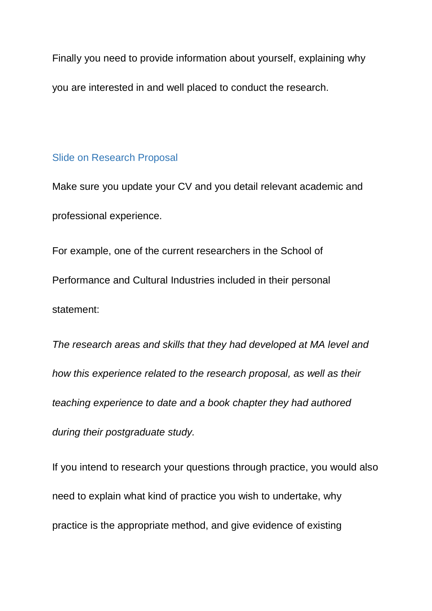Finally you need to provide information about yourself, explaining why you are interested in and well placed to conduct the research.

#### Slide on Research Proposal

Make sure you update your CV and you detail relevant academic and professional experience.

For example, one of the current researchers in the School of Performance and Cultural Industries included in their personal statement:

*The research areas and skills that they had developed at MA level and how this experience related to the research proposal, as well as their teaching experience to date and a book chapter they had authored during their postgraduate study.*

If you intend to research your questions through practice, you would also need to explain what kind of practice you wish to undertake, why practice is the appropriate method, and give evidence of existing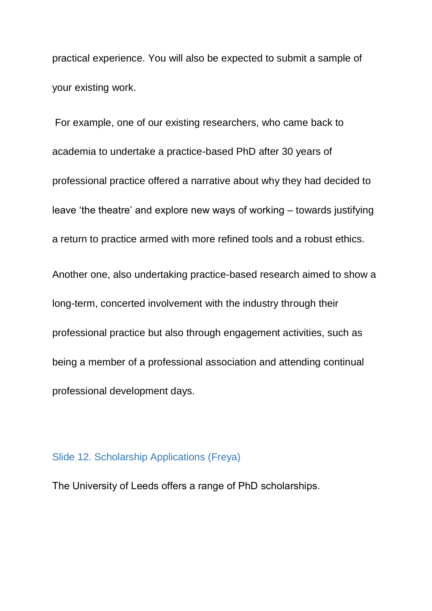practical experience. You will also be expected to submit a sample of your existing work.

For example, one of our existing researchers, who came back to academia to undertake a practice-based PhD after 30 years of professional practice offered a narrative about why they had decided to leave 'the theatre' and explore new ways of working – towards justifying a return to practice armed with more refined tools and a robust ethics.

Another one, also undertaking practice-based research aimed to show a long-term, concerted involvement with the industry through their professional practice but also through engagement activities, such as being a member of a professional association and attending continual professional development days.

#### Slide 12. Scholarship Applications (Freya)

The University of Leeds offers a range of PhD scholarships.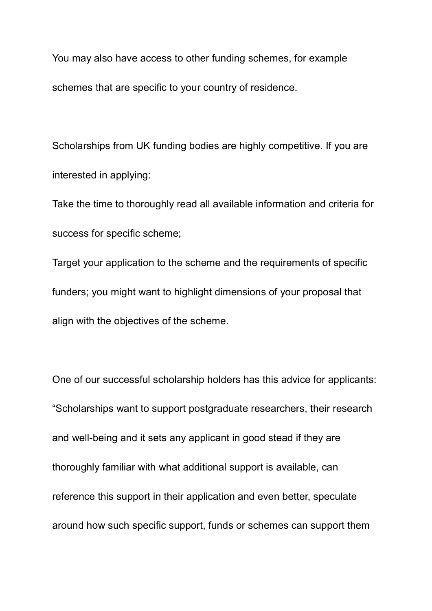You may also have access to other funding schemes, for example schemes that are specific to your country of residence.

Scholarships from UK funding bodies are highly competitive. If you are interested in applying:

Take the time to thoroughly read all available information and criteria for success for specific scheme;

Target your application to the scheme and the requirements of specific funders; you might want to highlight dimensions of your proposal that align with the objectives of the scheme.

One of our successful scholarship holders has this advice for applicants: "Scholarships want to support postgraduate researchers, their research and well-being and it sets any applicant in good stead if they are thoroughly familiar with what additional support is available, can reference this support in their application and even better, speculate around how such specific support, funds or schemes can support them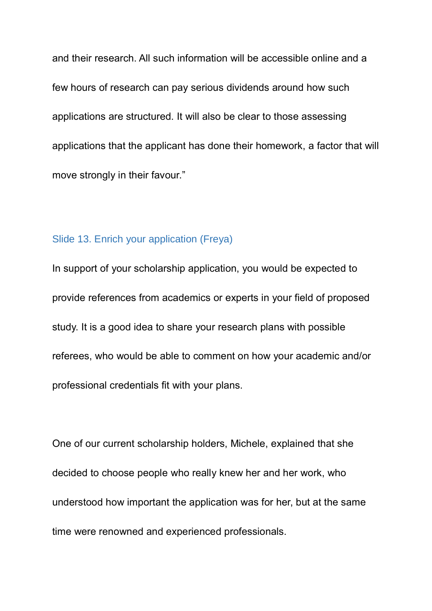and their research. All such information will be accessible online and a few hours of research can pay serious dividends around how such applications are structured. It will also be clear to those assessing applications that the applicant has done their homework, a factor that will move strongly in their favour."

### Slide 13. Enrich your application (Freya)

In support of your scholarship application, you would be expected to provide references from academics or experts in your field of proposed study. It is a good idea to share your research plans with possible referees, who would be able to comment on how your academic and/or professional credentials fit with your plans.

One of our current scholarship holders, Michele, explained that she decided to choose people who really knew her and her work, who understood how important the application was for her, but at the same time were renowned and experienced professionals.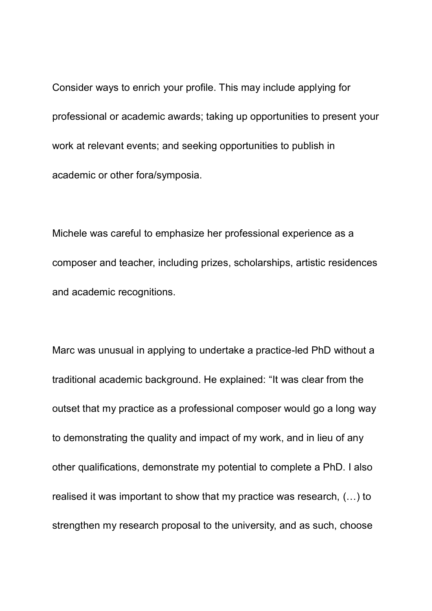Consider ways to enrich your profile. This may include applying for professional or academic awards; taking up opportunities to present your work at relevant events; and seeking opportunities to publish in academic or other fora/symposia.

Michele was careful to emphasize her professional experience as a composer and teacher, including prizes, scholarships, artistic residences and academic recognitions.

Marc was unusual in applying to undertake a practice-led PhD without a traditional academic background. He explained: "It was clear from the outset that my practice as a professional composer would go a long way to demonstrating the quality and impact of my work, and in lieu of any other qualifications, demonstrate my potential to complete a PhD. I also realised it was important to show that my practice was research, (…) to strengthen my research proposal to the university, and as such, choose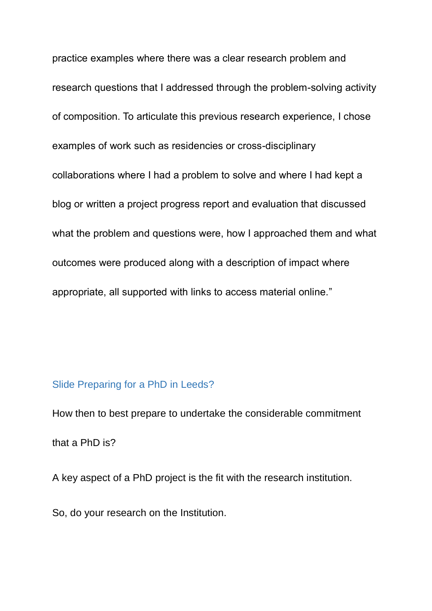practice examples where there was a clear research problem and research questions that I addressed through the problem-solving activity of composition. To articulate this previous research experience, I chose examples of work such as residencies or cross-disciplinary collaborations where I had a problem to solve and where I had kept a blog or written a project progress report and evaluation that discussed what the problem and questions were, how I approached them and what outcomes were produced along with a description of impact where appropriate, all supported with links to access material online."

#### Slide Preparing for a PhD in Leeds?

How then to best prepare to undertake the considerable commitment that a PhD is?

A key aspect of a PhD project is the fit with the research institution.

So, do your research on the Institution.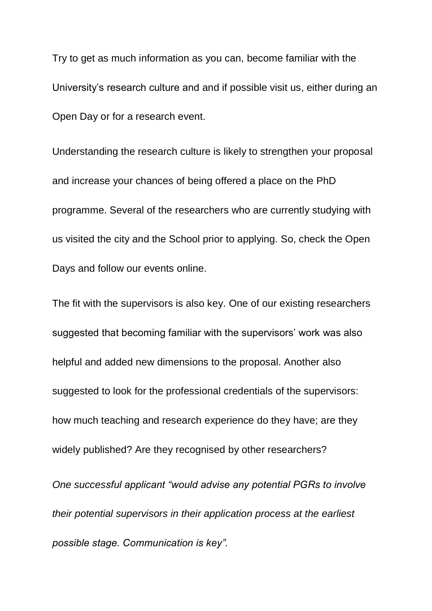Try to get as much information as you can, become familiar with the University's research culture and and if possible visit us, either during an Open Day or for a research event.

Understanding the research culture is likely to strengthen your proposal and increase your chances of being offered a place on the PhD programme. Several of the researchers who are currently studying with us visited the city and the School prior to applying. So, check the Open Days and follow our events online.

The fit with the supervisors is also key. One of our existing researchers suggested that becoming familiar with the supervisors' work was also helpful and added new dimensions to the proposal. Another also suggested to look for the professional credentials of the supervisors: how much teaching and research experience do they have; are they widely published? Are they recognised by other researchers?

*One successful applicant "would advise any potential PGRs to involve their potential supervisors in their application process at the earliest possible stage. Communication is key".*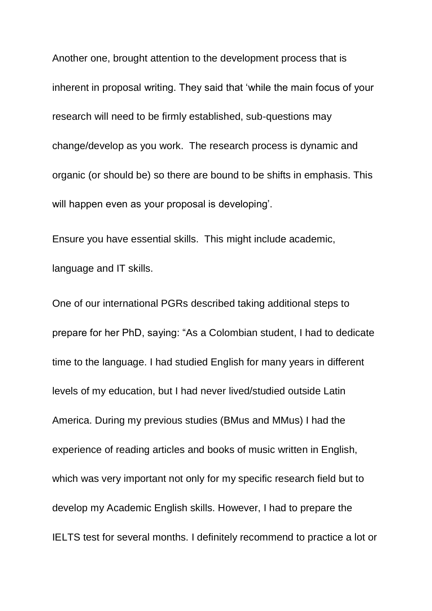Another one, brought attention to the development process that is inherent in proposal writing. They said that 'while the main focus of your research will need to be firmly established, sub-questions may change/develop as you work. The research process is dynamic and organic (or should be) so there are bound to be shifts in emphasis. This will happen even as your proposal is developing'.

Ensure you have essential skills. This might include academic, language and IT skills.

One of our international PGRs described taking additional steps to prepare for her PhD, saying: "As a Colombian student, I had to dedicate time to the language. I had studied English for many years in different levels of my education, but I had never lived/studied outside Latin America. During my previous studies (BMus and MMus) I had the experience of reading articles and books of music written in English, which was very important not only for my specific research field but to develop my Academic English skills. However, I had to prepare the IELTS test for several months. I definitely recommend to practice a lot or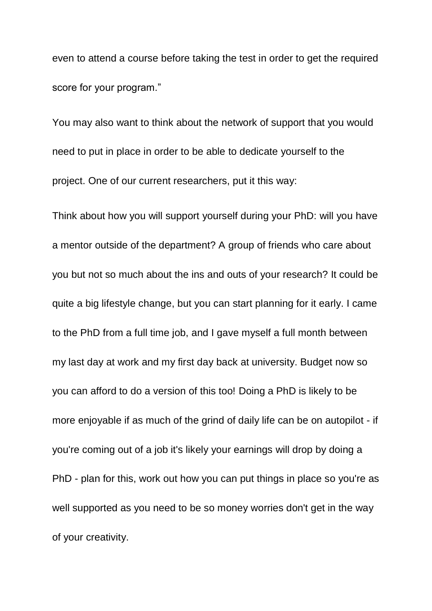even to attend a course before taking the test in order to get the required score for your program."

You may also want to think about the network of support that you would need to put in place in order to be able to dedicate yourself to the project. One of our current researchers, put it this way:

Think about how you will support yourself during your PhD: will you have a mentor outside of the department? A group of friends who care about you but not so much about the ins and outs of your research? It could be quite a big lifestyle change, but you can start planning for it early. I came to the PhD from a full time job, and I gave myself a full month between my last day at work and my first day back at university. Budget now so you can afford to do a version of this too! Doing a PhD is likely to be more enjoyable if as much of the grind of daily life can be on autopilot - if you're coming out of a job it's likely your earnings will drop by doing a PhD - plan for this, work out how you can put things in place so you're as well supported as you need to be so money worries don't get in the way of your creativity.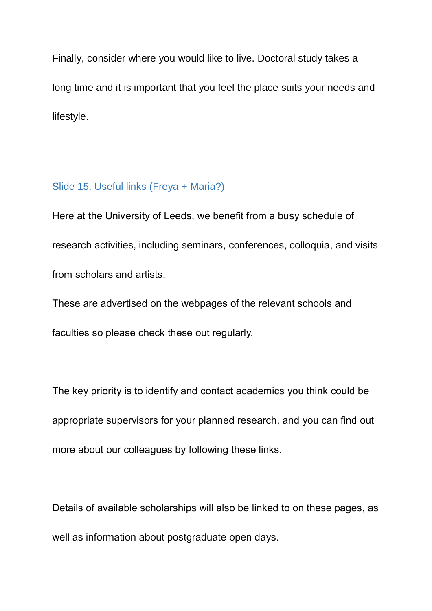Finally, consider where you would like to live. Doctoral study takes a long time and it is important that you feel the place suits your needs and lifestyle.

### Slide 15. Useful links (Freya + Maria?)

Here at the University of Leeds, we benefit from a busy schedule of research activities, including seminars, conferences, colloquia, and visits from scholars and artists.

These are advertised on the webpages of the relevant schools and

faculties so please check these out regularly.

The key priority is to identify and contact academics you think could be appropriate supervisors for your planned research, and you can find out more about our colleagues by following these links.

Details of available scholarships will also be linked to on these pages, as well as information about postgraduate open days.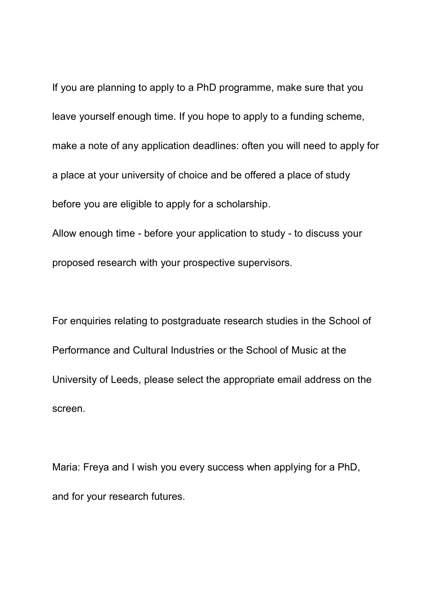If you are planning to apply to a PhD programme, make sure that you leave yourself enough time. If you hope to apply to a funding scheme, make a note of any application deadlines: often you will need to apply for a place at your university of choice and be offered a place of study before you are eligible to apply for a scholarship.

Allow enough time - before your application to study - to discuss your proposed research with your prospective supervisors.

For enquiries relating to postgraduate research studies in the School of Performance and Cultural Industries or the School of Music at the University of Leeds, please select the appropriate email address on the screen.

Maria: Freya and I wish you every success when applying for a PhD, and for your research futures.